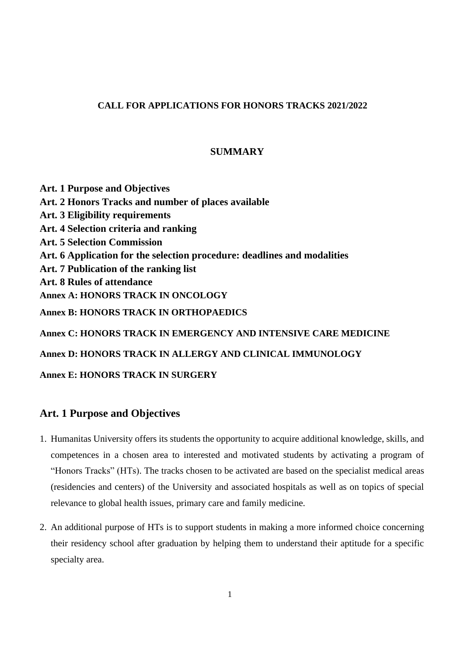## **CALL FOR APPLICATIONS FOR HONORS TRACKS 2021/2022**

## **SUMMARY**

**Art. 1 Purpose and Objectives Art. 2 Honors Tracks and number of places available Art. 3 Eligibility requirements Art. 4 Selection criteria and ranking Art. 5 Selection Commission Art. 6 Application for the selection procedure: deadlines and modalities Art. 7 Publication of the ranking list Art. 8 Rules of attendance Annex A: HONORS TRACK IN ONCOLOGY Annex B: HONORS TRACK IN ORTHOPAEDICS Annex C: HONORS TRACK IN EMERGENCY AND INTENSIVE CARE MEDICINE Annex D: HONORS TRACK IN ALLERGY AND CLINICAL IMMUNOLOGY Annex E: HONORS TRACK IN SURGERY**

# **Art. 1 Purpose and Objectives**

- 1. Humanitas University offers its students the opportunity to acquire additional knowledge, skills, and competences in a chosen area to interested and motivated students by activating a program of "Honors Tracks" (HTs). The tracks chosen to be activated are based on the specialist medical areas (residencies and centers) of the University and associated hospitals as well as on topics of special relevance to global health issues, primary care and family medicine.
- 2. An additional purpose of HTs is to support students in making a more informed choice concerning their residency school after graduation by helping them to understand their aptitude for a specific specialty area.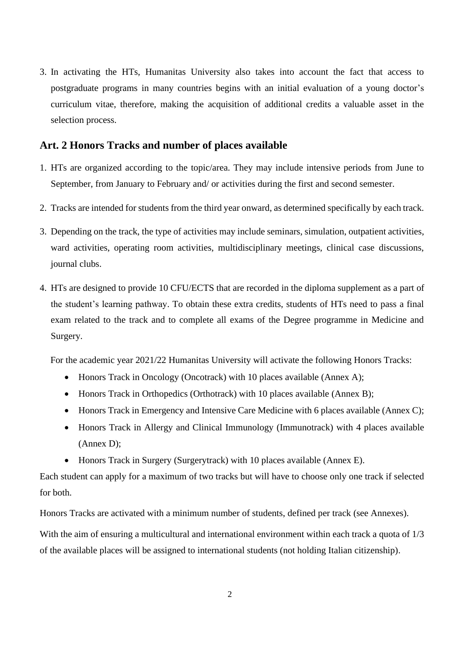3. In activating the HTs, Humanitas University also takes into account the fact that access to postgraduate programs in many countries begins with an initial evaluation of a young doctor's curriculum vitae, therefore, making the acquisition of additional credits a valuable asset in the selection process.

# **Art. 2 Honors Tracks and number of places available**

- 1. HTs are organized according to the topic/area. They may include intensive periods from June to September, from January to February and/ or activities during the first and second semester.
- 2. Tracks are intended for students from the third year onward, as determined specifically by each track.
- 3. Depending on the track, the type of activities may include seminars, simulation, outpatient activities, ward activities, operating room activities, multidisciplinary meetings, clinical case discussions, journal clubs.
- 4. HTs are designed to provide 10 CFU/ECTS that are recorded in the diploma supplement as a part of the student's learning pathway. To obtain these extra credits, students of HTs need to pass a final exam related to the track and to complete all exams of the Degree programme in Medicine and Surgery.

For the academic year 2021/22 Humanitas University will activate the following Honors Tracks:

- Honors Track in Oncology (Oncotrack) with 10 places available (Annex A);
- Honors Track in Orthopedics (Orthotrack) with 10 places available (Annex B);
- Honors Track in Emergency and Intensive Care Medicine with 6 places available (Annex C);
- Honors Track in Allergy and Clinical Immunology (Immunotrack) with 4 places available (Annex D);
- Honors Track in Surgery (Surgerytrack) with 10 places available (Annex E).

Each student can apply for a maximum of two tracks but will have to choose only one track if selected for both.

Honors Tracks are activated with a minimum number of students, defined per track (see Annexes).

With the aim of ensuring a multicultural and international environment within each track a quota of  $1/3$ of the available places will be assigned to international students (not holding Italian citizenship).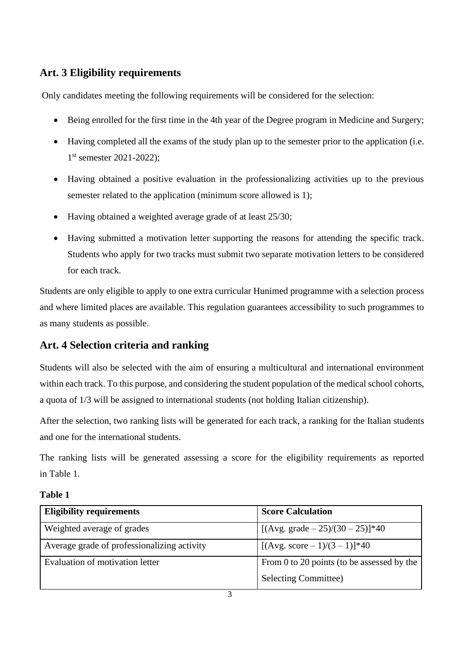# **Art. 3 Eligibility requirements**

Only candidates meeting the following requirements will be considered for the selection:

- Being enrolled for the first time in the 4th year of the Degree program in Medicine and Surgery;
- Having completed all the exams of the study plan up to the semester prior to the application (i.e. 1 st semester 2021-2022);
- Having obtained a positive evaluation in the professionalizing activities up to the previous semester related to the application (minimum score allowed is 1);
- Having obtained a weighted average grade of at least 25/30;
- Having submitted a motivation letter supporting the reasons for attending the specific track. Students who apply for two tracks must submit two separate motivation letters to be considered for each track.

Students are only eligible to apply to one extra curricular Hunimed programme with a selection process and where limited places are available. This regulation guarantees accessibility to such programmes to as many students as possible.

# **Art. 4 Selection criteria and ranking**

Students will also be selected with the aim of ensuring a multicultural and international environment within each track. To this purpose, and considering the student population of the medical school cohorts, a quota of 1/3 will be assigned to international students (not holding Italian citizenship).

After the selection, two ranking lists will be generated for each track, a ranking for the Italian students and one for the international students.

The ranking lists will be generated assessing a score for the eligibility requirements as reported in Table 1.

| <b>Eligibility requirements</b>             | <b>Score Calculation</b>                   |
|---------------------------------------------|--------------------------------------------|
| Weighted average of grades                  | [ $(Avg. grade - 25)/(30 - 25)$ ]*40       |
| Average grade of professionalizing activity | [ $(Avg. score - 1)/(3 – 1)$ ]*40          |
| Evaluation of motivation letter             | From 0 to 20 points (to be assessed by the |
|                                             | <b>Selecting Committee)</b>                |

# **Table 1**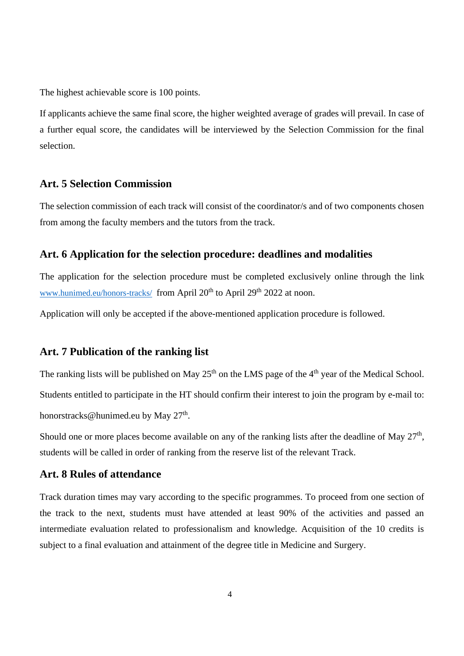The highest achievable score is 100 points.

If applicants achieve the same final score, the higher weighted average of grades will prevail. In case of a further equal score, the candidates will be interviewed by the Selection Commission for the final selection.

# **Art. 5 Selection Commission**

The selection commission of each track will consist of the coordinator/s and of two components chosen from among the faculty members and the tutors from the track.

# **Art. 6 Application for the selection procedure: deadlines and modalities**

The application for the selection procedure must be completed exclusively online through the link [www.hunimed.eu/honors-tracks/](http://www.hunimed.eu/honors-tracks/) from April 20<sup>th</sup> to April 29<sup>th</sup> 2022 at noon.

Application will only be accepted if the above-mentioned application procedure is followed.

## **Art. 7 Publication of the ranking list**

The ranking lists will be published on May  $25<sup>th</sup>$  on the LMS page of the 4<sup>th</sup> year of the Medical School. Students entitled to participate in the HT should confirm their interest to join the program by e-mail to: honorstracks@hunimed.eu by May 27<sup>th</sup>.

Should one or more places become available on any of the ranking lists after the deadline of May  $27<sup>th</sup>$ , students will be called in order of ranking from the reserve list of the relevant Track.

# **Art. 8 Rules of attendance**

Track duration times may vary according to the specific programmes. To proceed from one section of the track to the next, students must have attended at least 90% of the activities and passed an intermediate evaluation related to professionalism and knowledge. Acquisition of the 10 credits is subject to a final evaluation and attainment of the degree title in Medicine and Surgery.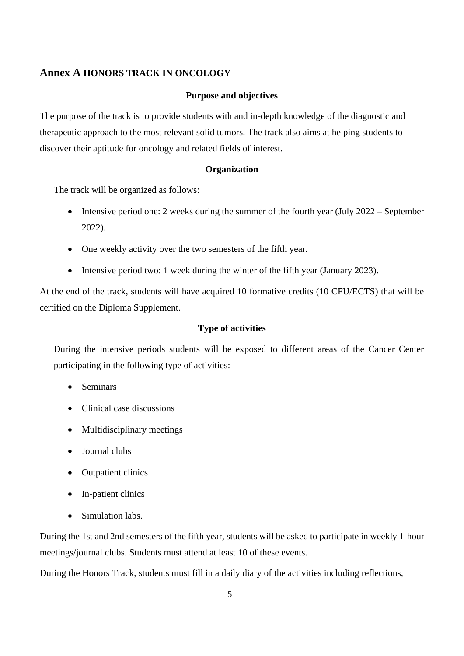## **Annex A HONORS TRACK IN ONCOLOGY**

#### **Purpose and objectives**

The purpose of the track is to provide students with and in-depth knowledge of the diagnostic and therapeutic approach to the most relevant solid tumors. The track also aims at helping students to discover their aptitude for oncology and related fields of interest.

#### **Organization**

The track will be organized as follows:

- Intensive period one: 2 weeks during the summer of the fourth year (July 2022 September 2022).
- One weekly activity over the two semesters of the fifth year.
- Intensive period two: 1 week during the winter of the fifth year (January 2023).

At the end of the track, students will have acquired 10 formative credits (10 CFU/ECTS) that will be certified on the Diploma Supplement.

#### **Type of activities**

During the intensive periods students will be exposed to different areas of the Cancer Center participating in the following type of activities:

- Seminars
- Clinical case discussions
- Multidisciplinary meetings
- Journal clubs
- Outpatient clinics
- In-patient clinics
- Simulation labs.

During the 1st and 2nd semesters of the fifth year, students will be asked to participate in weekly 1-hour meetings/journal clubs. Students must attend at least 10 of these events.

During the Honors Track, students must fill in a daily diary of the activities including reflections,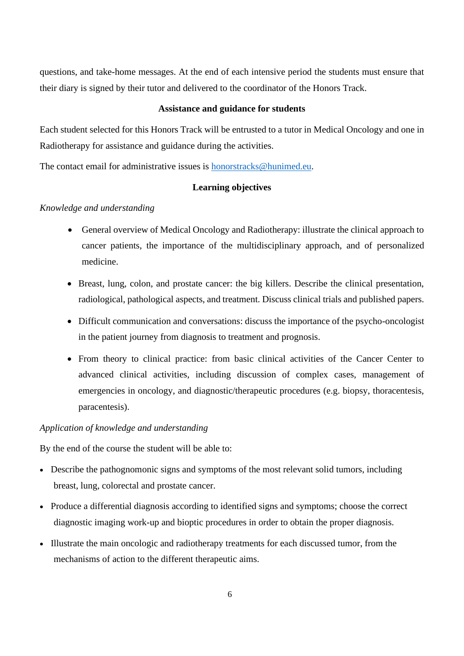questions, and take-home messages. At the end of each intensive period the students must ensure that their diary is signed by their tutor and delivered to the coordinator of the Honors Track.

#### **Assistance and guidance for students**

Each student selected for this Honors Track will be entrusted to a tutor in Medical Oncology and one in Radiotherapy for assistance and guidance during the activities.

The contact email for administrative issues is honorstracks@hunimed.eu.

## **Learning objectives**

## *Knowledge and understanding*

- General overview of Medical Oncology and Radiotherapy: illustrate the clinical approach to cancer patients, the importance of the multidisciplinary approach, and of personalized medicine.
- Breast, lung, colon, and prostate cancer: the big killers. Describe the clinical presentation, radiological, pathological aspects, and treatment. Discuss clinical trials and published papers.
- Difficult communication and conversations: discuss the importance of the psycho-oncologist in the patient journey from diagnosis to treatment and prognosis.
- From theory to clinical practice: from basic clinical activities of the Cancer Center to advanced clinical activities, including discussion of complex cases, management of emergencies in oncology, and diagnostic/therapeutic procedures (e.g. biopsy, thoracentesis, paracentesis).

## *Application of knowledge and understanding*

- Describe the pathognomonic signs and symptoms of the most relevant solid tumors, including breast, lung, colorectal and prostate cancer.
- Produce a differential diagnosis according to identified signs and symptoms; choose the correct diagnostic imaging work-up and bioptic procedures in order to obtain the proper diagnosis.
- Illustrate the main oncologic and radiotherapy treatments for each discussed tumor, from the mechanisms of action to the different therapeutic aims.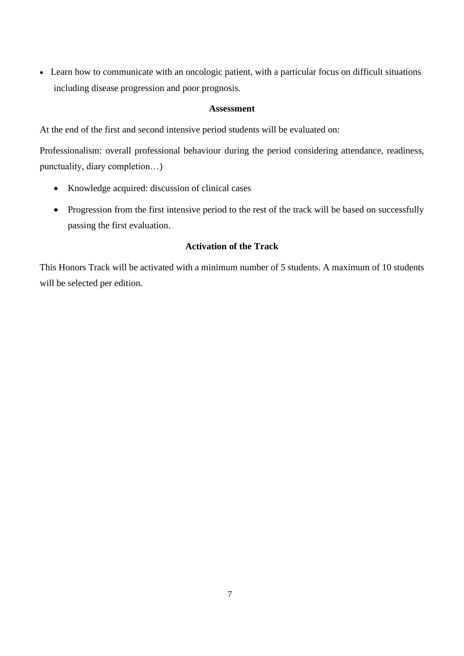• Learn how to communicate with an oncologic patient, with a particular focus on difficult situations including disease progression and poor prognosis.

## **Assessment**

At the end of the first and second intensive period students will be evaluated on:

Professionalism: overall professional behaviour during the period considering attendance, readiness, punctuality, diary completion…)

- Knowledge acquired: discussion of clinical cases
- Progression from the first intensive period to the rest of the track will be based on successfully passing the first evaluation.

# **Activation of the Track**

This Honors Track will be activated with a minimum number of 5 students. A maximum of 10 students will be selected per edition.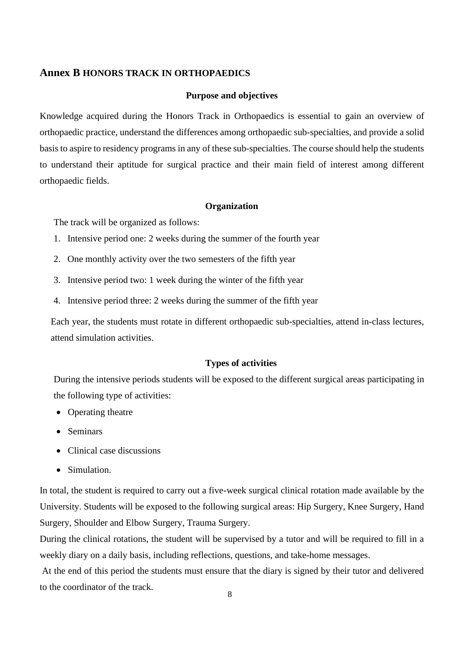## **Annex B HONORS TRACK IN ORTHOPAEDICS**

#### **Purpose and objectives**

Knowledge acquired during the Honors Track in Orthopaedics is essential to gain an overview of orthopaedic practice, understand the differences among orthopaedic sub-specialties, and provide a solid basis to aspire to residency programs in any of these sub-specialties. The course should help the students to understand their aptitude for surgical practice and their main field of interest among different orthopaedic fields.

#### **Organization**

The track will be organized as follows:

- 1. Intensive period one: 2 weeks during the summer of the fourth year
- 2. One monthly activity over the two semesters of the fifth year
- 3. Intensive period two: 1 week during the winter of the fifth year
- 4. Intensive period three: 2 weeks during the summer of the fifth year

Each year, the students must rotate in different orthopaedic sub-specialties, attend in-class lectures, attend simulation activities.

#### **Types of activities**

During the intensive periods students will be exposed to the different surgical areas participating in the following type of activities:

- Operating theatre
- Seminars
- Clinical case discussions
- Simulation.

In total, the student is required to carry out a five-week surgical clinical rotation made available by the University. Students will be exposed to the following surgical areas: Hip Surgery, Knee Surgery, Hand Surgery, Shoulder and Elbow Surgery, Trauma Surgery.

During the clinical rotations, the student will be supervised by a tutor and will be required to fill in a weekly diary on a daily basis, including reflections, questions, and take-home messages.

At the end of this period the students must ensure that the diary is signed by their tutor and delivered to the coordinator of the track.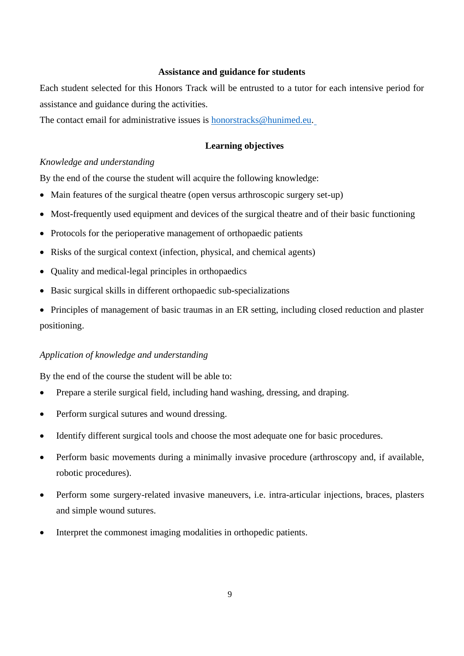#### **Assistance and guidance for students**

Each student selected for this Honors Track will be entrusted to a tutor for each intensive period for assistance and guidance during the activities.

The contact email for administrative issues is honorstracks@hunimed.eu.

#### **Learning objectives**

#### *Knowledge and understanding*

By the end of the course the student will acquire the following knowledge:

- Main features of the surgical theatre (open versus arthroscopic surgery set-up)
- Most-frequently used equipment and devices of the surgical theatre and of their basic functioning
- Protocols for the perioperative management of orthopaedic patients
- Risks of the surgical context (infection, physical, and chemical agents)
- Quality and medical-legal principles in orthopaedics
- Basic surgical skills in different orthopaedic sub-specializations
- Principles of management of basic traumas in an ER setting, including closed reduction and plaster positioning.

#### *Application of knowledge and understanding*

- Prepare a sterile surgical field, including hand washing, dressing, and draping.
- Perform surgical sutures and wound dressing.
- Identify different surgical tools and choose the most adequate one for basic procedures.
- Perform basic movements during a minimally invasive procedure (arthroscopy and, if available, robotic procedures).
- Perform some surgery-related invasive maneuvers, i.e. intra-articular injections, braces, plasters and simple wound sutures.
- Interpret the commonest imaging modalities in orthopedic patients.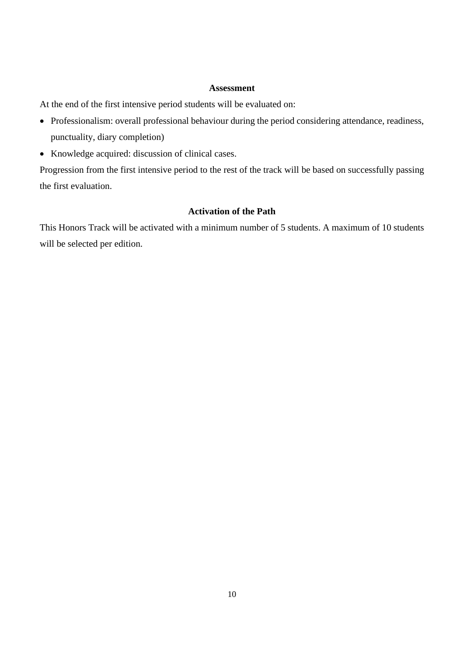#### **Assessment**

At the end of the first intensive period students will be evaluated on:

- Professionalism: overall professional behaviour during the period considering attendance, readiness, punctuality, diary completion)
- Knowledge acquired: discussion of clinical cases.

Progression from the first intensive period to the rest of the track will be based on successfully passing the first evaluation.

# **Activation of the Path**

This Honors Track will be activated with a minimum number of 5 students. A maximum of 10 students will be selected per edition.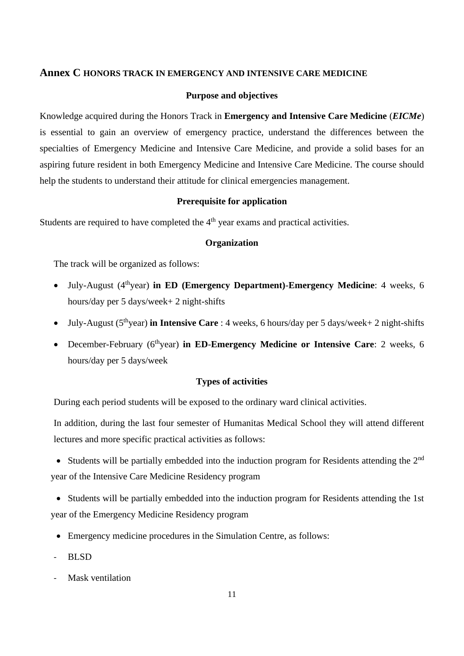## **Annex C HONORS TRACK IN EMERGENCY AND INTENSIVE CARE MEDICINE**

#### **Purpose and objectives**

Knowledge acquired during the Honors Track in **Emergency and Intensive Care Medicine** (*EICMe*) is essential to gain an overview of emergency practice, understand the differences between the specialties of Emergency Medicine and Intensive Care Medicine, and provide a solid bases for an aspiring future resident in both Emergency Medicine and Intensive Care Medicine. The course should help the students to understand their attitude for clinical emergencies management.

#### **Prerequisite for application**

Students are required to have completed the  $4<sup>th</sup>$  year exams and practical activities.

## **Organization**

The track will be organized as follows:

- July-August (4thyear) **in ED (Emergency Department)**-**Emergency Medicine**: 4 weeks, 6 hours/day per 5 days/week+ 2 night-shifts
- July-August (5thyear) **in Intensive Care** : 4 weeks, 6 hours/day per 5 days/week+ 2 night-shifts
- December-February (6thyear) **in ED**-**Emergency Medicine or Intensive Care**: 2 weeks, 6 hours/day per 5 days/week

## **Types of activities**

During each period students will be exposed to the ordinary ward clinical activities.

In addition, during the last four semester of Humanitas Medical School they will attend different lectures and more specific practical activities as follows:

• Students will be partially embedded into the induction program for Residents attending the 2<sup>nd</sup> year of the Intensive Care Medicine Residency program

• Students will be partially embedded into the induction program for Residents attending the 1st year of the Emergency Medicine Residency program

- Emergency medicine procedures in the Simulation Centre, as follows:
- BLSD
- Mask ventilation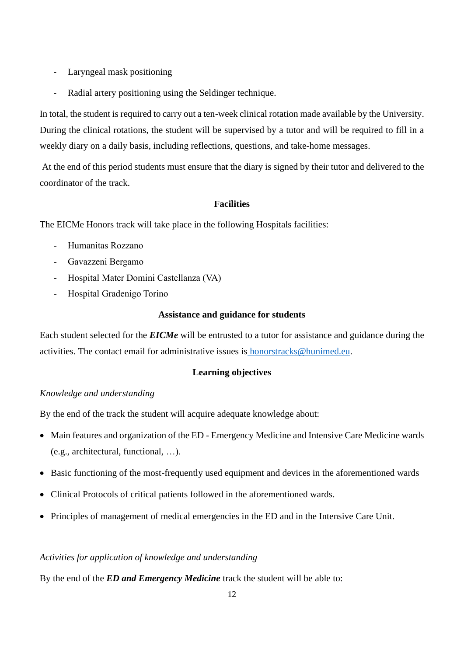- Laryngeal mask positioning
- Radial artery positioning using the Seldinger technique.

In total, the student is required to carry out a ten-week clinical rotation made available by the University. During the clinical rotations, the student will be supervised by a tutor and will be required to fill in a weekly diary on a daily basis, including reflections, questions, and take-home messages.

At the end of this period students must ensure that the diary is signed by their tutor and delivered to the coordinator of the track.

# **Facilities**

The EICMe Honors track will take place in the following Hospitals facilities:

- Humanitas Rozzano
- Gavazzeni Bergamo
- Hospital Mater Domini Castellanza (VA)
- Hospital Gradenigo Torino

## **Assistance and guidance for students**

Each student selected for the *EICMe* will be entrusted to a tutor for assistance and guidance during the activities. The contact email for administrative issues is honorstracks@hunimed.eu.

## **Learning objectives**

## *Knowledge and understanding*

By the end of the track the student will acquire adequate knowledge about:

- Main features and organization of the ED Emergency Medicine and Intensive Care Medicine wards (e.g., architectural, functional, …).
- Basic functioning of the most-frequently used equipment and devices in the aforementioned wards
- Clinical Protocols of critical patients followed in the aforementioned wards.
- Principles of management of medical emergencies in the ED and in the Intensive Care Unit.

## *Activities for application of knowledge and understanding*

By the end of the *ED and Emergency Medicine* track the student will be able to: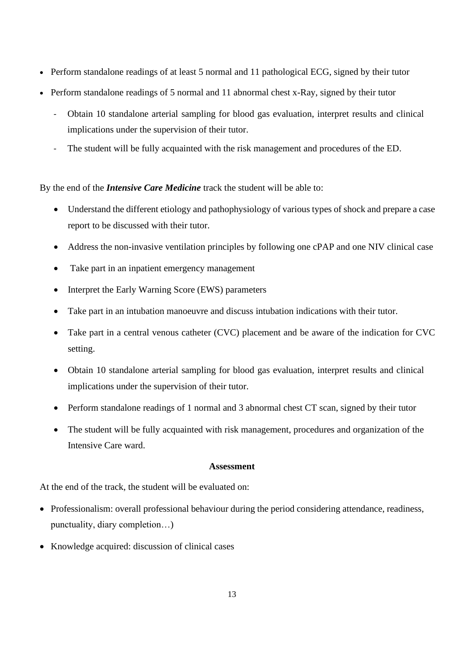- Perform standalone readings of at least 5 normal and 11 pathological ECG, signed by their tutor
- Perform standalone readings of 5 normal and 11 abnormal chest x-Ray, signed by their tutor
	- Obtain 10 standalone arterial sampling for blood gas evaluation, interpret results and clinical implications under the supervision of their tutor.
	- The student will be fully acquainted with the risk management and procedures of the ED.

By the end of the *Intensive Care Medicine* track the student will be able to:

- Understand the different etiology and pathophysiology of various types of shock and prepare a case report to be discussed with their tutor.
- Address the non-invasive ventilation principles by following one cPAP and one NIV clinical case
- Take part in an inpatient emergency management
- Interpret the Early Warning Score (EWS) parameters
- Take part in an intubation manoeuvre and discuss intubation indications with their tutor.
- Take part in a central venous catheter (CVC) placement and be aware of the indication for CVC setting.
- Obtain 10 standalone arterial sampling for blood gas evaluation, interpret results and clinical implications under the supervision of their tutor.
- Perform standalone readings of 1 normal and 3 abnormal chest CT scan, signed by their tutor
- The student will be fully acquainted with risk management, procedures and organization of the Intensive Care ward.

#### **Assessment**

At the end of the track, the student will be evaluated on:

- Professionalism: overall professional behaviour during the period considering attendance, readiness, punctuality, diary completion…)
- Knowledge acquired: discussion of clinical cases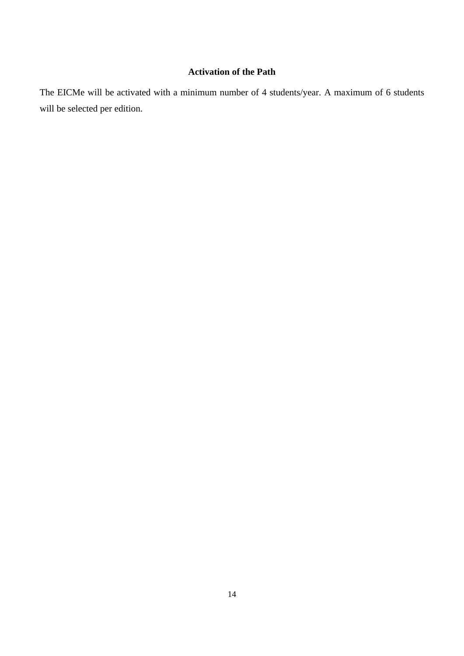# **Activation of the Path**

The EICMe will be activated with a minimum number of 4 students/year. A maximum of 6 students will be selected per edition.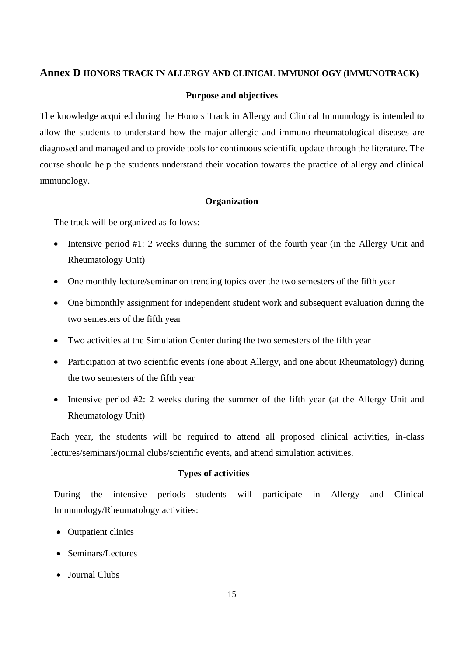# **Annex D HONORS TRACK IN ALLERGY AND CLINICAL IMMUNOLOGY (IMMUNOTRACK)**

#### **Purpose and objectives**

The knowledge acquired during the Honors Track in Allergy and Clinical Immunology is intended to allow the students to understand how the major allergic and immuno-rheumatological diseases are diagnosed and managed and to provide tools for continuous scientific update through the literature. The course should help the students understand their vocation towards the practice of allergy and clinical immunology.

#### **Organization**

The track will be organized as follows:

- Intensive period #1: 2 weeks during the summer of the fourth year (in the Allergy Unit and Rheumatology Unit)
- One monthly lecture/seminar on trending topics over the two semesters of the fifth year
- One bimonthly assignment for independent student work and subsequent evaluation during the two semesters of the fifth year
- Two activities at the Simulation Center during the two semesters of the fifth year
- Participation at two scientific events (one about Allergy, and one about Rheumatology) during the two semesters of the fifth year
- Intensive period #2: 2 weeks during the summer of the fifth year (at the Allergy Unit and Rheumatology Unit)

Each year, the students will be required to attend all proposed clinical activities, in-class lectures/seminars/journal clubs/scientific events, and attend simulation activities.

#### **Types of activities**

During the intensive periods students will participate in Allergy and Clinical Immunology/Rheumatology activities:

- Outpatient clinics
- Seminars/Lectures
- Journal Clubs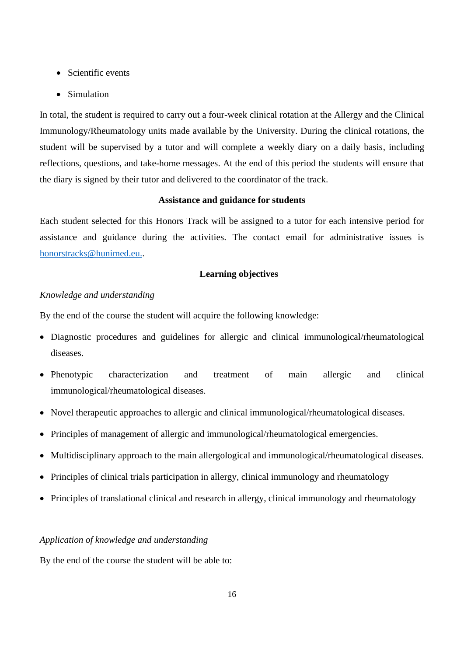- Scientific events
- Simulation

In total, the student is required to carry out a four-week clinical rotation at the Allergy and the Clinical Immunology/Rheumatology units made available by the University. During the clinical rotations, the student will be supervised by a tutor and will complete a weekly diary on a daily basis, including reflections, questions, and take-home messages. At the end of this period the students will ensure that the diary is signed by their tutor and delivered to the coordinator of the track.

# **Assistance and guidance for students**

Each student selected for this Honors Track will be assigned to a tutor for each intensive period for assistance and guidance during the activities. The contact email for administrative issues is honorstracks@hunimed.eu..

## **Learning objectives**

## *Knowledge and understanding*

By the end of the course the student will acquire the following knowledge:

- Diagnostic procedures and guidelines for allergic and clinical immunological/rheumatological diseases.
- Phenotypic characterization and treatment of main allergic and clinical immunological/rheumatological diseases.
- Novel therapeutic approaches to allergic and clinical immunological/rheumatological diseases.
- Principles of management of allergic and immunological/rheumatological emergencies.
- Multidisciplinary approach to the main allergological and immunological/rheumatological diseases.
- Principles of clinical trials participation in allergy, clinical immunology and rheumatology
- Principles of translational clinical and research in allergy, clinical immunology and rheumatology

#### *Application of knowledge and understanding*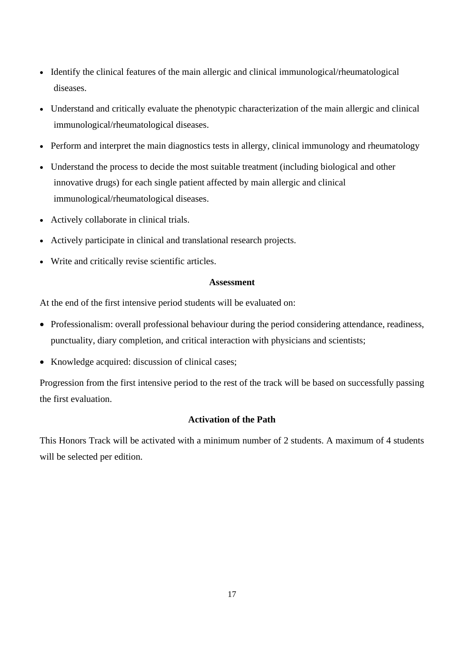- Identify the clinical features of the main allergic and clinical immunological/rheumatological diseases.
- Understand and critically evaluate the phenotypic characterization of the main allergic and clinical immunological/rheumatological diseases.
- Perform and interpret the main diagnostics tests in allergy, clinical immunology and rheumatology
- Understand the process to decide the most suitable treatment (including biological and other innovative drugs) for each single patient affected by main allergic and clinical immunological/rheumatological diseases.
- Actively collaborate in clinical trials.
- Actively participate in clinical and translational research projects.
- Write and critically revise scientific articles.

#### **Assessment**

At the end of the first intensive period students will be evaluated on:

- Professionalism: overall professional behaviour during the period considering attendance, readiness, punctuality, diary completion, and critical interaction with physicians and scientists;
- Knowledge acquired: discussion of clinical cases;

Progression from the first intensive period to the rest of the track will be based on successfully passing the first evaluation.

## **Activation of the Path**

This Honors Track will be activated with a minimum number of 2 students. A maximum of 4 students will be selected per edition.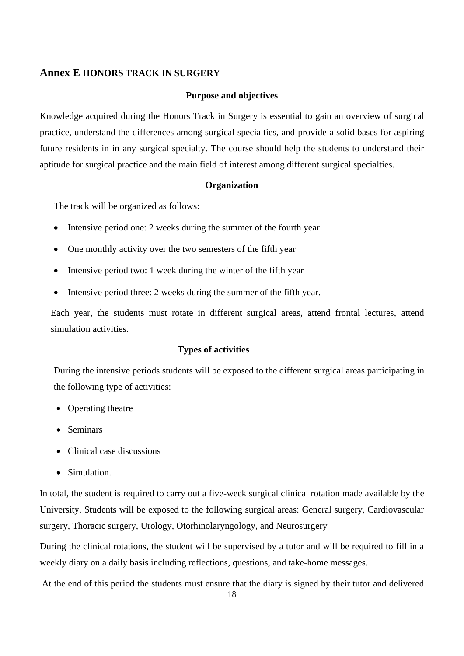# **Annex E HONORS TRACK IN SURGERY**

#### **Purpose and objectives**

Knowledge acquired during the Honors Track in Surgery is essential to gain an overview of surgical practice, understand the differences among surgical specialties, and provide a solid bases for aspiring future residents in in any surgical specialty. The course should help the students to understand their aptitude for surgical practice and the main field of interest among different surgical specialties.

#### **Organization**

The track will be organized as follows:

- Intensive period one: 2 weeks during the summer of the fourth year
- One monthly activity over the two semesters of the fifth year
- Intensive period two: 1 week during the winter of the fifth year
- Intensive period three: 2 weeks during the summer of the fifth year.

Each year, the students must rotate in different surgical areas, attend frontal lectures, attend simulation activities.

## **Types of activities**

During the intensive periods students will be exposed to the different surgical areas participating in the following type of activities:

- Operating theatre
- Seminars
- Clinical case discussions
- Simulation.

In total, the student is required to carry out a five-week surgical clinical rotation made available by the University. Students will be exposed to the following surgical areas: General surgery, Cardiovascular surgery, Thoracic surgery, Urology, Otorhinolaryngology, and Neurosurgery

During the clinical rotations, the student will be supervised by a tutor and will be required to fill in a weekly diary on a daily basis including reflections, questions, and take-home messages.

At the end of this period the students must ensure that the diary is signed by their tutor and delivered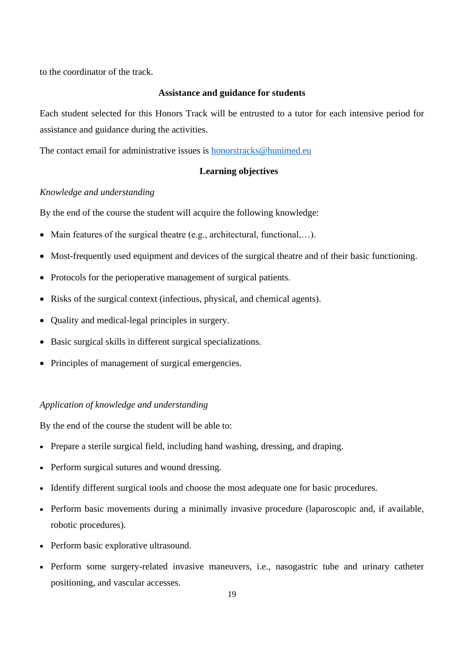to the coordinator of the track.

### **Assistance and guidance for students**

Each student selected for this Honors Track will be entrusted to a tutor for each intensive period for assistance and guidance during the activities.

The contact email for administrative issues is honorstracks@hunimed.eu

#### **Learning objectives**

#### *Knowledge and understanding*

By the end of the course the student will acquire the following knowledge:

- Main features of the surgical theatre (e.g., architectural, functional,...).
- Most-frequently used equipment and devices of the surgical theatre and of their basic functioning.
- Protocols for the perioperative management of surgical patients.
- Risks of the surgical context (infectious, physical, and chemical agents).
- Quality and medical-legal principles in surgery.
- Basic surgical skills in different surgical specializations.
- Principles of management of surgical emergencies.

#### *Application of knowledge and understanding*

- Prepare a sterile surgical field, including hand washing, dressing, and draping.
- Perform surgical sutures and wound dressing.
- Identify different surgical tools and choose the most adequate one for basic procedures.
- Perform basic movements during a minimally invasive procedure (laparoscopic and, if available, robotic procedures).
- Perform basic explorative ultrasound.
- Perform some surgery-related invasive maneuvers, i.e., nasogastric tube and urinary catheter positioning, and vascular accesses.